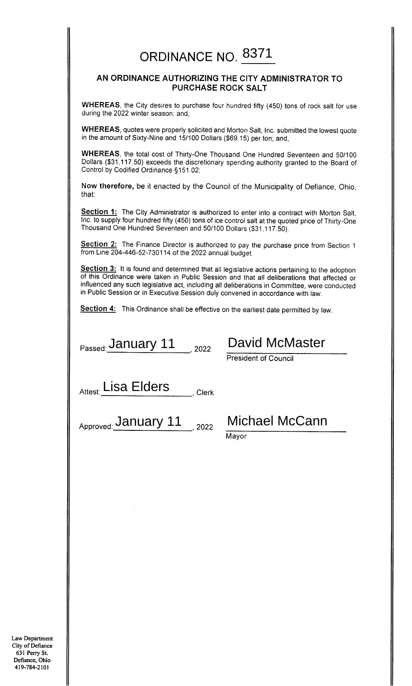# ORDINANCE NO. 8371

### AN ORDINANCE AUTHORIZING THE CITY ADMINISTRATOR TO **PURCHASE ROCK SALT**

WHEREAS, the City desires to purchase four hundred fifty (450) tons of rock salt for use during the 2022 winter season; and,

WHEREAS, quotes were properly solicited and Morton Salt, Inc. submitted the lowest quote in the amount of Sixty-Nine and 15/100 Dollars (\$69.15) per ton; and,

WHEREAS, the total cost of Thirty-One Thousand One Hundred Seventeen and 50/100 Dollars (\$31,117.50) exceeds the discretionary spending authority granted to the Board of Control by Codified Ordinance §151.02;

Now therefore, be it enacted by the Council of the Municipality of Defiance, Ohio, that:

Section 1: The City Administrator is authorized to enter into a contract with Morton Salt. Inc. to supply four hundred fifty (450) tons of ice control salt at the quoted price of Thirty-One Thousand One Hundred Seventeen and 50/100 Dollars (\$31,117.50).

Section 2: The Finance Director is authorized to pay the purchase price from Section 1 from Line 204-446-52-730114 of the 2022 annual budget.

Section 3: It is found and determined that all legislative actions pertaining to the adoption of this Ordinance were taken in Public Session and that all deliberations that affected or influenced any such legislative act, including all deliberations in Committee, were conducted in Public Session or in Executive Session duly convened in accordance with law.

Section 4: This Ordinance shall be effective on the earliest date permitted by law.

 $P$ assed: January 11 2022

## David McMaster

**President of Council** 

Attest: Lisa Elders Clerk

Approved: January 11 2022

## **Michael McCann**

Mayor

Law Department City of Defiance 631 Perry St. Defiance, Ohio 419-784-2101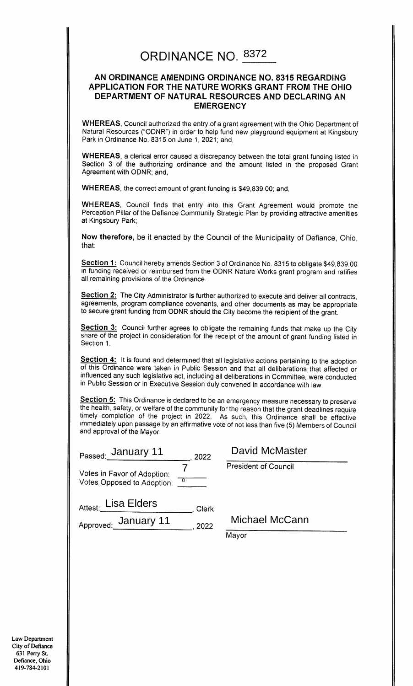### ORDINANCE NO. 8372

#### AN ORDINANCE AMENDING ORDINANCE NO. 8315 REGARDING APPLICATION FOR THE NATURE WORKS GRANT FROM THE OHIO DEPARTMENT OF NATURAL RESOURCES AND DECLARING AN **EMERGENCY**

**WHEREAS, Council authorized the entry of a grant agreement with the Ohio Department of** Natural Resources ("ODNR") in order to help fund new playground equipment at Kingsbury Park in Ordinance No. 8315 on June 1, 2021; and,

WHEREAS, a clerical error caused a discrepancy between the total grant funding listed in Section 3 of the authorizing ordinance and the amount listed in the proposed Grant Agreement with ODNR; and,

WHEREAS, the correct amount of grant funding is \$49,839.00; and,

WHEREAS, Council finds that entry into this Grant Agreement would promote the Perception Pillar of the Defiance Community Strategic Plan by providing attractive amenities at Kingsbury Park;

Now therefore, be it enacted by the Council of the Municipality of Defiance, Ohio, that:

Section 1: Council hereby amends Section 3 of Ordinance No. 8315 to obligate \$49,839.00 in funding received or reimbursed from the ODNR Nature Works grant program and ratifies all remaining provisions of the Ordinance.

Section 2: The City Administrator is further authorized to execute and deliver all contracts, agreements, program compliance covenants, and other documents as may be appropriate to secure grant funding from ODNR should the City become the recipient of the grant.

Section 3: Council further agrees to obligate the remaining funds that make up the City share of the project in consideration for the receipt of the amount of grant funding listed in Section 1.

Section 4: It is found and determined that all legislative actions pertaining to the adoption of this Ordinance were taken in Public Session and that all deliberations that affected or influenced any such legislative act, including all deliberations in Committee, were conducted in Public Session or in Executive Session duly convened in accordance with law.

Section 5: This Ordinance is declared to be an emergency measure necessary to preserve the health, safety, or welfare of the community for the reason that the grant deadlines require timely completion of the project in 2022. As such, this Ordinance shall be effective immediately upon passage by an affirmative vote of not less than five (5) Members of Council and approval of the Mayor.

| Passed: January 11                                          | 2022  |
|-------------------------------------------------------------|-------|
| Votes in Favor of Adoption:<br>Votes Opposed to Adoption: 0 |       |
| Attest: Lisa Elders                                         | Clerk |
|                                                             |       |

Approved: January 11 2022

David McMaster

**President of Council** 

**Michael McCann** 

Mayor

Law Department City of Defiance 631 Perry St. Defiance, Ohio 419-784-2101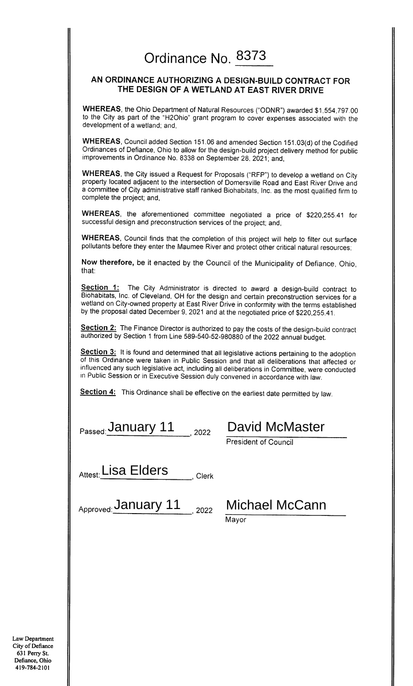## Ordinance No. 8373

### AN ORDINANCE AUTHORIZING A DESIGN-BUILD CONTRACT FOR THE DESIGN OF A WETLAND AT EAST RIVER DRIVE

WHEREAS, the Ohio Department of Natural Resources ("ODNR") awarded \$1,554,797.00 to the City as part of the "H2Ohio" grant program to cover expenses associated with the development of a wetland; and,

WHEREAS, Council added Section 151.06 and amended Section 151.03(d) of the Codified Ordinances of Defiance, Ohio to allow for the design-build project delivery method for public improvements in Ordinance No. 8338 on September 28, 2021, and,

WHEREAS, the City issued a Request for Proposals ("RFP") to develop a wetland on City property located adjacent to the intersection of Domersville Road and East River Drive and a committee of City administrative staff ranked Biohabitats, Inc. as the most qualified firm to complete the project; and,

WHEREAS, the aforementioned committee negotiated a price of \$220,255.41 for successful design and preconstruction services of the project; and,

WHEREAS, Council finds that the completion of this project will help to filter out surface pollutants before they enter the Maumee River and protect other critical natural resources;

Now therefore, be it enacted by the Council of the Municipality of Defiance, Ohio, that:

**Section 1:** The City Administrator is directed to award a design-build contract to Biohabitats, Inc. of Cleveland, OH for the design and certain preconstruction services for a wetland on City-owned property at East River Drive in conformity with the terms established by the proposal dated December 9, 2021 and at the negotiated price of \$220,255.41.

Section 2: The Finance Director is authorized to pay the costs of the design-build contract authorized by Section 1 from Line 589-540-52-980880 of the 2022 annual budget.

Section 3: It is found and determined that all legislative actions pertaining to the adoption of this Ordinance were taken in Public Session and that all deliberations that affected or influenced any such legislative act, including all deliberations in Committee, were conducted in Public Session or in Executive Session duly convened in accordance with law.

Section 4: This Ordinance shall be effective on the earliest date permitted by law.

Passed: January 11 2022 David McMaster

President of Council

Attest: Lisa Elders Clerk

Approved: January 11 2022 Michael McCann

Mavor

Law Department City of Defiance 631 Perry St. Defiance, Ohio 419-784-2101